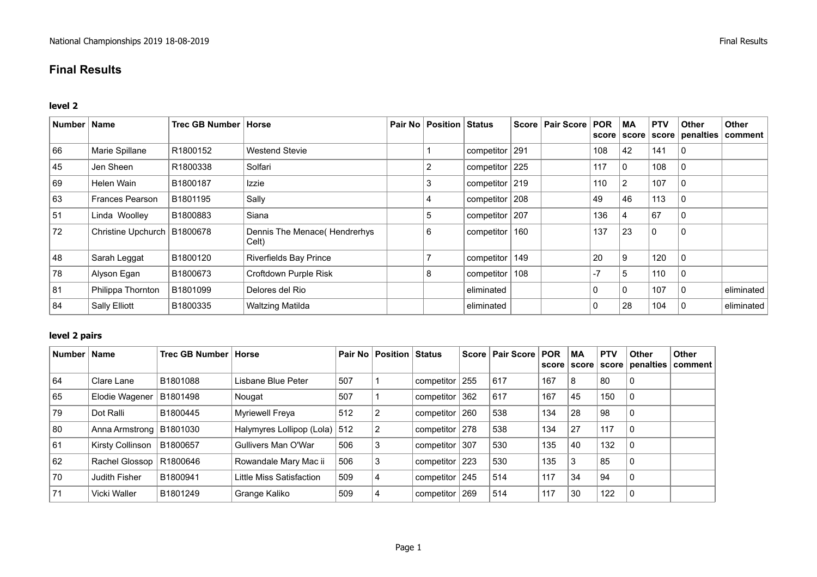# **Final Results**

#### **level 2**

| Number   Name |                        | Trec GB Number | <b>Horse</b>                           | Pair No   Position   Status |                    | Score   Pair Score | <b>POR</b><br>score | <b>MA</b><br>score | <b>PTV</b>  | <b>Other</b><br>score   penalties   comment | Other      |
|---------------|------------------------|----------------|----------------------------------------|-----------------------------|--------------------|--------------------|---------------------|--------------------|-------------|---------------------------------------------|------------|
| 66            | Marie Spillane         | R1800152       | <b>Westend Stevie</b>                  |                             | competitor $ 291$  |                    | 108                 | 42                 | 141         | l 0                                         |            |
| 45            | Jen Sheen              | R1800338       | Solfari                                | 2                           | competitor 225     |                    | 117                 | 0                  | 108         | 0                                           |            |
| 69            | Helen Wain             | B1800187       | Izzie                                  | 3                           | competitor 219     |                    | 110                 | 2                  | 107         | l 0                                         |            |
| 63            | <b>Frances Pearson</b> | B1801195       | Sally                                  |                             | competitor $ 208 $ |                    | 49                  | 46                 | 113         | l 0                                         |            |
| 51            | Linda Woolley          | B1800883       | Siana                                  | 5                           | competitor   207   |                    | 136                 |                    | 67          | 0                                           |            |
| 72            | Christine Upchurch     | B1800678       | Dennis The Menace (Hendrerhys<br>Celt) | 6                           | competitor   160   |                    | 137                 | 23                 | $\mathbf 0$ | l 0                                         |            |
| 48            | Sarah Leggat           | B1800120       | Riverfields Bay Prince                 |                             | competitor   149   |                    | 20                  | 9                  | 120         | l O                                         |            |
| 78            | Alyson Egan            | B1800673       | Croftdown Purple Risk                  | 8                           | competitor   108   |                    | $-7$                | 5                  | 110         | l 0                                         |            |
| 81            | Philippa Thornton      | B1801099       | Delores del Rio                        |                             | eliminated         |                    | $\mathbf{0}$        | 0                  | 107         | l 0                                         | eliminated |
| 84            | Sally Elliott          | B1800335       | <b>Waltzing Matilda</b>                |                             | eliminated         |                    | 0                   | 28                 | 104         | l 0                                         | eliminated |

## **level 2 pairs**

| Number | <b>Name</b>               | Trec GB Number   Horse |                               |     | <b>Pair No   Position   Status</b> |                |     | Score   Pair Score   POR |     | МA<br>score score | <b>PTV</b> | <b>Other</b><br>score   penalties | <b>Other</b><br>comment |
|--------|---------------------------|------------------------|-------------------------------|-----|------------------------------------|----------------|-----|--------------------------|-----|-------------------|------------|-----------------------------------|-------------------------|
| 64     | Clare Lane                | B1801088               | Lisbane Blue Peter            | 507 |                                    | competitor 255 |     | 617                      | 167 | 8                 | 80         | 0                                 |                         |
| 65     | Elodie Wagener            | B1801498               | Nougat                        | 507 |                                    | competitor     | 362 | 617                      | 167 | 45                | 150        | $\Omega$                          |                         |
| 79     | Dot Ralli                 | B1800445               | Myriewell Freya               | 512 |                                    | competitor 260 |     | 538                      | 134 | 28                | 98         | 0                                 |                         |
| 80     | Anna Armstrong   B1801030 |                        | Halymyres Lollipop (Lola) 512 |     | 2                                  | competitor 278 |     | 538                      | 134 | 27                | 117        | 0                                 |                         |
| 61     | <b>Kirsty Collinson</b>   | B1800657               | Gullivers Man O'War           | 506 | 3                                  | competitor 307 |     | 530                      | 135 | 40                | 132        | 0                                 |                         |
| 62     | Rachel Glossop   R1800646 |                        | Rowandale Mary Mac ii         | 506 | 3                                  | competitor     | 223 | 530                      | 135 | 3                 | 85         | 0                                 |                         |
| 70     | Judith Fisher             | B1800941               | Little Miss Satisfaction      | 509 | 4                                  | competitor 245 |     | 514                      | 117 | 34                | 94         | $\mathbf{0}$                      |                         |
| 71     | Vicki Waller              | B1801249               | Grange Kaliko                 | 509 | 4                                  | competitor     | 269 | 514                      | 117 | 30                | 122        | 0                                 |                         |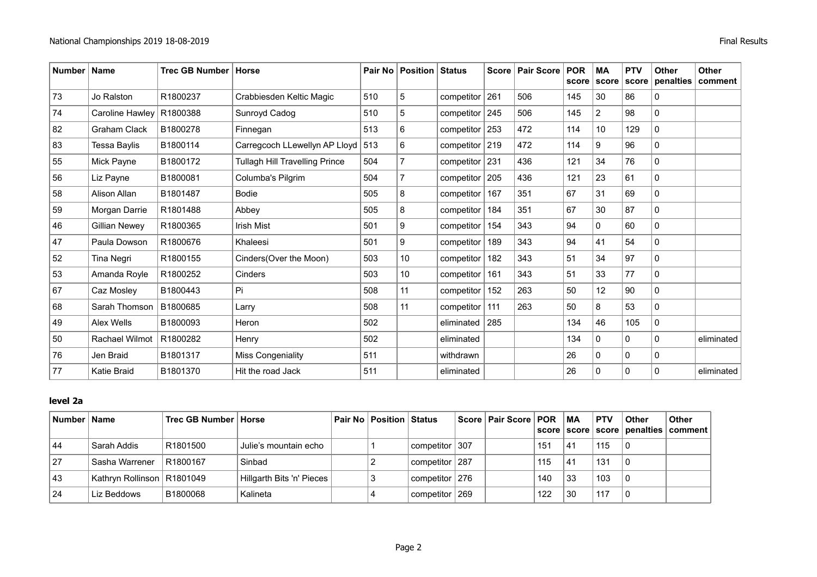| Number   Name |                       | Trec GB Number   Horse |                                       |     | Pair No   Position   Status |                    | Score   Pair Score | <b>POR</b><br>score | <b>MA</b><br>score | <b>PTV</b><br>score | <b>Other</b><br>penalties | <b>Other</b><br>comment |
|---------------|-----------------------|------------------------|---------------------------------------|-----|-----------------------------|--------------------|--------------------|---------------------|--------------------|---------------------|---------------------------|-------------------------|
| 73            | Jo Ralston            | R1800237               | Crabbiesden Keltic Magic              | 510 | 5                           | competitor $ 261$  | 506                | 145                 | 30                 | 86                  | 0                         |                         |
| 74            | Caroline Hawley       | R1800388               | Sunroyd Cadog                         | 510 | 5                           | competitor $ 245$  | 506                | 145                 | $\overline{2}$     | 98                  | $\Omega$                  |                         |
| 82            | <b>Graham Clack</b>   | B1800278               | Finnegan                              | 513 | 6                           | competitor $ 253 $ | 472                | 114                 | 10                 | 129                 | $\mathbf 0$               |                         |
| 83            | <b>Tessa Baylis</b>   | B1800114               | Carregcoch LLewellyn AP Lloyd 513     |     | 6                           | competitor $ 219 $ | 472                | 114                 | 9                  | 96                  | 0                         |                         |
| 55            | Mick Payne            | B1800172               | <b>Tullagh Hill Travelling Prince</b> | 504 |                             | competitor $ 231$  | 436                | 121                 | 34                 | 76                  | 0                         |                         |
| 56            | Liz Payne             | B1800081               | Columba's Pilgrim                     | 504 |                             | competitor   205   | 436                | 121                 | 23                 | 61                  | 0                         |                         |
| 58            | Alison Allan          | B1801487               | <b>Bodie</b>                          | 505 | 8                           | competitor   167   | 351                | 67                  | 31                 | 69                  | 0                         |                         |
| 59            | Morgan Darrie         | R1801488               | Abbey                                 | 505 | 8                           | competitor $ 184 $ | 351                | 67                  | 30                 | 87                  | $\Omega$                  |                         |
| 46            | Gillian Newey         | R1800365               | <b>Irish Mist</b>                     | 501 | 9                           | competitor $154$   | 343                | 94                  | 0                  | 60                  | $\Omega$                  |                         |
| 47            | Paula Dowson          | R1800676               | Khaleesi                              | 501 | 9                           | competitor   189   | 343                | 94                  | 41                 | 54                  | 0                         |                         |
| 52            | Tina Negri            | R1800155               | Cinders(Over the Moon)                | 503 | 10 <sup>°</sup>             | competitor   182   | 343                | 51                  | 34                 | 97                  | $\Omega$                  |                         |
| 53            | Amanda Royle          | R1800252               | Cinders                               | 503 | 10 <sup>°</sup>             | competitor   161   | 343                | 51                  | 33                 | 77                  | $\Omega$                  |                         |
| 67            | Caz Mosley            | B1800443               | Pi                                    | 508 | 11                          | competitor $ 152 $ | 263                | 50                  | 12                 | 90                  | 0                         |                         |
| 68            | Sarah Thomson         | B1800685               | Larry                                 | 508 | 11                          | competitor   111   | 263                | 50                  | 8                  | 53                  | 0                         |                         |
| 49            | Alex Wells            | B1800093               | Heron                                 | 502 |                             | eliminated $ 285 $ |                    | 134                 | 46                 | 105                 | 0                         |                         |
| 50            | <b>Rachael Wilmot</b> | R1800282               | Henry                                 | 502 |                             | eliminated         |                    | 134                 | 0                  | $\Omega$            | 0                         | eliminated              |
| 76            | Jen Braid             | B1801317               | <b>Miss Congeniality</b>              | 511 |                             | withdrawn          |                    | 26                  | $\mathbf{0}$       | $\mathbf{0}$        | 0                         |                         |
| 77            | <b>Katie Braid</b>    | B1801370               | Hit the road Jack                     | 511 |                             | eliminated         |                    | 26                  | 0                  | 0                   | 0                         | eliminated              |

## **level 2a**

| Number Name |                              | ⊦Trec GB Number ∣ Horse |                           | <b>Pair No   Position   Status</b> |                  | Score   Pair Score   POR |     | MA | <b>PTV</b> | Other | <b>Other</b>                                |
|-------------|------------------------------|-------------------------|---------------------------|------------------------------------|------------------|--------------------------|-----|----|------------|-------|---------------------------------------------|
|             |                              |                         |                           |                                    |                  |                          |     |    |            |       | score   score   score   penalties   comment |
| 44          | Sarah Addis                  | R1801500                | Julie's mountain echo     |                                    | competitor   307 |                          | 151 | 41 | 115        |       |                                             |
| 27          | Sasha Warrener               | R1800167                | Sinbad                    |                                    | competitor 287   |                          | 115 | 41 | 131        |       |                                             |
| 43          | Kathryn Rollinson   R1801049 |                         | Hillgarth Bits 'n' Pieces |                                    | competitor 276   |                          | 140 | 33 | 103        |       |                                             |
| 24          | Liz Beddows                  | B1800068                | Kalineta                  |                                    | competitor   269 |                          | 122 | 30 | 117        |       |                                             |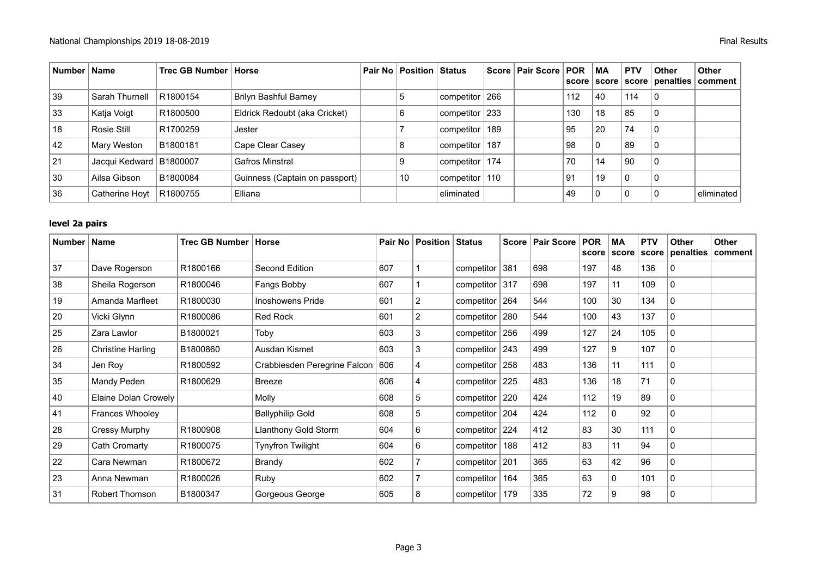| Number   Name |                           | Trec GB Number   Horse |                                | Pair No   Position   Status |                  | Score   Pair Score   POR |     | МA          | <b>PTV</b>     | <b>Other</b>                      | <b>Other</b> |
|---------------|---------------------------|------------------------|--------------------------------|-----------------------------|------------------|--------------------------|-----|-------------|----------------|-----------------------------------|--------------|
|               |                           |                        |                                |                             |                  |                          |     |             |                | score   score   score   penalties | ∣ comment    |
| 39            | Sarah Thurnell            | R1800154               | Brilyn Bashful Barney          | .c                          | competitor 266   |                          | 112 | 40          | 114            | l 0                               |              |
| 33            | Katja Voigt               | R1800500               | Eldrick Redoubt (aka Cricket)  | 6                           | competitor $233$ |                          | 130 | 18          | 85             | 0                                 |              |
| 18            | Rosie Still               | R1700259               | Jester                         |                             | competitor   189 |                          | 95  | 20          | 74             | $\mathbf{0}$                      |              |
| 42            | Mary Weston               | B1800181               | Cape Clear Casey               |                             | competitor 187   |                          | 98  | $\mathbf 0$ | 89             | 0                                 |              |
| 21            | Jacqui Kedward   B1800007 |                        | Gafros Minstral                |                             | competitor   174 |                          | 70  | 14          | 90             | 0                                 |              |
| 30            | Ailsa Gibson              | B1800084               | Guinness (Captain on passport) | 10                          | competitor 110   |                          | 91  | 19          | 0              | 0                                 |              |
| 36            | Catherine Hoyt   R1800755 |                        | Elliana                        |                             | eliminated       |                          | 49  | $\Omega$    | $\overline{0}$ | 0                                 | eliminated   |

## **level 2a pairs**

| Number | <b>Name</b>              | Trec GB Number | Horse                        |     | Pair No   Position | Status            | <b>Score</b> | <b>Pair Score</b> | <b>POR</b><br>score | МA<br> score | <b>PTV</b><br>score | Other<br>penalties | Other<br>comment |
|--------|--------------------------|----------------|------------------------------|-----|--------------------|-------------------|--------------|-------------------|---------------------|--------------|---------------------|--------------------|------------------|
| 37     | Dave Rogerson            | R1800166       | Second Edition               | 607 |                    | competitor        | 381          | 698               | 197                 | 48           | 136                 | 0                  |                  |
| 38     | Sheila Rogerson          | R1800046       | Fangs Bobby                  | 607 |                    | competitor $ 317$ |              | 698               | 197                 | 11           | 109                 | $\Omega$           |                  |
| 19     | Amanda Marfleet          | R1800030       | <b>Inoshowens Pride</b>      | 601 | $\overline{2}$     | competitor        | 264          | 544               | 100                 | 30           | 134                 | $\mathbf{0}$       |                  |
| 20     | Vicki Glynn              | R1800086       | Red Rock                     | 601 | $\overline{2}$     | competitor        | 280          | 544               | 100                 | 43           | 137                 | $\Omega$           |                  |
| 25     | Zara Lawlor              | B1800021       | Toby                         | 603 | 3                  | competitor        | 256          | 499               | 127                 | 24           | 105                 | 0                  |                  |
| 26     | <b>Christine Harling</b> | B1800860       | Ausdan Kismet                | 603 | 3                  | competitor        | 243          | 499               | 127                 | 9            | 107                 | $\Omega$           |                  |
| 34     | Jen Roy                  | R1800592       | Crabbiesden Peregrine Falcon | 606 | 4                  | competitor        | 258          | 483               | 136                 | 11           | 111                 | l 0                |                  |
| 35     | Mandy Peden              | R1800629       | <b>Breeze</b>                | 606 | 4                  | competitor        | 225          | 483               | 136                 | 18           | 71                  | $\Omega$           |                  |
| 40     | Elaine Dolan Crowely     |                | Molly                        | 608 | 5                  | competitor        | 220          | 424               | 112                 | 19           | 89                  | $\mathbf{0}$       |                  |
| 41     | Frances Whooley          |                | <b>Ballyphilip Gold</b>      | 608 | 5                  | competitor        | 204          | 424               | 112                 | 0            | 92                  | $\mathbf{0}$       |                  |
| 28     | Cressy Murphy            | R1800908       | Llanthony Gold Storm         | 604 | 6                  | competitor $ 224$ |              | 412               | 83                  | 30           | 111                 | ೧                  |                  |
| 29     | Cath Cromarty            | R1800075       | <b>Tynyfron Twilight</b>     | 604 | 6                  | competitor        | 188          | 412               | 83                  | 11           | 94                  | $\Omega$           |                  |
| 22     | Cara Newman              | R1800672       | Brandy                       | 602 |                    | competitor        | 201          | 365               | 63                  | 42           | 96                  | $\Omega$           |                  |
| 23     | Anna Newman              | R1800026       | Ruby                         | 602 |                    | competitor        | 164          | 365               | 63                  | 0            | 101                 | $\mathbf{0}$       |                  |
| 31     | <b>Robert Thomson</b>    | B1800347       | Gorgeous George              | 605 | 8                  | competitor        | 179          | 335               | 72                  | 9            | 98                  | $\overline{0}$     |                  |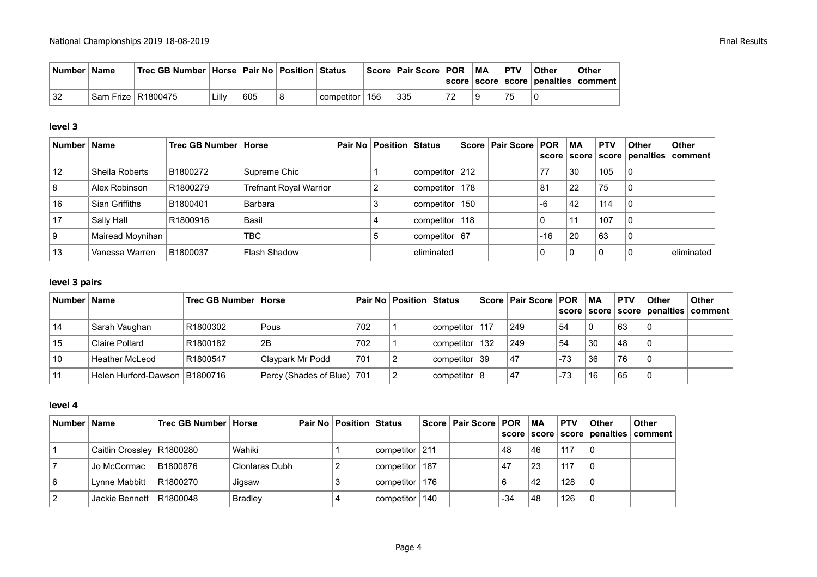| Number   Name | ˈ Trec GB Number ∣ Horse ∣ Pair No ∣ Position ∣ Status ∣ |     |                  | Score   Pair Score   POR | МA | <b>PTV</b> | Other | Other<br>  score   score   score   penalties   comment |
|---------------|----------------------------------------------------------|-----|------------------|--------------------------|----|------------|-------|--------------------------------------------------------|
| 32            | Sam Frize   R1800475                                     | 605 | competitor   156 | 335                      |    | 75         |       |                                                        |

#### **level 3**

| Number   Name |                  | Trec GB Number   Horse |                        | <b>Pair No Position Status</b> |                    | Score   Pair Score   POR |       | ∣MA | <b>PTV</b> | <b>Other</b> | Other<br>score   score   score   penalties   comment |
|---------------|------------------|------------------------|------------------------|--------------------------------|--------------------|--------------------------|-------|-----|------------|--------------|------------------------------------------------------|
| 12            | Sheila Roberts   | B1800272               | Supreme Chic           |                                | competitor $ 212 $ |                          | 77    | 30  | 105        | 0            |                                                      |
|               | Alex Robinson    | R1800279               | Trefnant Royal Warrior |                                | competitor   178   |                          | 81    | 22  | 75         | 0            |                                                      |
| 16            | Sian Griffiths   | B1800401               | Barbara                |                                | competitor   150   |                          | -6    | 42  | 114        | $\mathbf{0}$ |                                                      |
| 17            | Sally Hall       | R1800916               | <b>Basil</b>           |                                | competitor   118   |                          | 0     |     | 107        | 0            |                                                      |
|               | Mairead Moynihan |                        | <b>TBC</b>             |                                | competitor $ 67 $  |                          | $-16$ | 20  | 63         | 0            |                                                      |
| 13            | Vanessa Warren   | B1800037               | Flash Shadow           |                                | eliminated         |                          | 0     |     |            |              | eliminated                                           |

#### **level 3 pairs**

| ∣ Number ∣ Name |                                 | Trec GB Number   Horse |                              |     | <b>Pair No   Position   Status</b> |                  |     | Score   Pair Score   POR |       | МA | <b>PTV</b> | <b>Other</b> | <b>Other</b><br>score   score   score   penalties   comment |
|-----------------|---------------------------------|------------------------|------------------------------|-----|------------------------------------|------------------|-----|--------------------------|-------|----|------------|--------------|-------------------------------------------------------------|
| 14              | Sarah Vaughan                   | R1800302               | Pous                         | 702 |                                    | competitor       | 117 | 249                      | 54    |    | 63         |              |                                                             |
| 15              | Claire Pollard                  | R1800182               | 2B                           | 702 |                                    | competitor       | 132 | 249                      | 54    | 30 | 48         |              |                                                             |
| 10              | Heather McLeod                  | R1800547               | Claypark Mr Podd             | 701 |                                    | competitor 39    |     | 47                       | $-73$ | 36 | 76         |              |                                                             |
|                 | Helen Hurford-Dawson   B1800716 |                        | Percy (Shades of Blue)   701 |     |                                    | competitor $ 8 $ |     | 47                       | $-73$ | 16 | 65         |              |                                                             |

#### **level 4**

| Number   Name |                             | ⊦Trec GB Number ∣ Horse |                | ⊦ Pair No │ Position │ Status |                  | Score   Pair Score   POR |       | $\mathsf{M}$ A | <b>PTV</b> | <b>Other</b> | <b>Other</b><br>  score   score   score   penalties   comment |
|---------------|-----------------------------|-------------------------|----------------|-------------------------------|------------------|--------------------------|-------|----------------|------------|--------------|---------------------------------------------------------------|
|               | Caitlin Crossley   R1800280 |                         | Wahiki         |                               | competitor   211 |                          | 48    | 46             | 117        | l 0          |                                                               |
|               | Jo McCormac                 | B1800876                | Clonlaras Dubh |                               | competitor   187 |                          | .47   | 23             | 117        | l 0          |                                                               |
|               | Lynne Mabbitt               | R1800270                | Jigsaw         |                               | competitor   176 |                          |       | 42             | 128        | l 0          |                                                               |
|               | Jackie Bennett   R1800048   |                         | <b>Bradley</b> |                               | competitor   140 |                          | $-34$ | 48             | 126        | l 0          |                                                               |